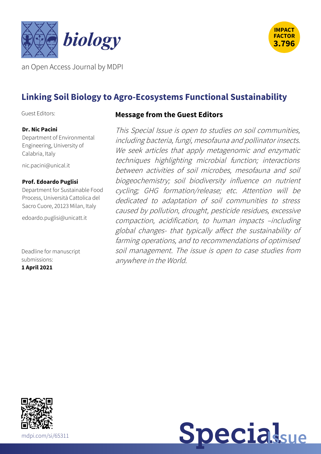



an Open Access Journal by MDPI

# **Linking Soil Biology to Agro-Ecosystems Functional Sustainability**

Guest Editors:

#### **Dr. Nic Pacini**

Department of Environmental Engineering, University of Calabria, Italy

[nic.pacini@unical.it](mailto:nic.pacini@unical.it)

#### **Prof. Edoardo Puglisi**

Department for Sustainable Food Process, Università Cattolica del Sacro Cuore, 20123 Milan, Italy

[edoardo.puglisi@unicatt.it](mailto:edoardo.puglisi@unicatt.it)

Deadline for manuscript submissions: **1 April 2021**

#### **Message from the Guest Editors**

This Special Issue is open to studies on soil communities, including bacteria, fungi, mesofauna and pollinator insects. We seek articles that apply metagenomic and enzymatic techniques highlighting microbial function; interactions between activities of soil microbes, mesofauna and soil biogeochemistry; soil biodiversity influence on nutrient cycling; GHG formation/release; etc. Attention will be dedicated to adaptation of soil communities to stress caused by pollution, drought, pesticide residues, excessive compaction, acidification, to human impacts –including global changes- that typically affect the sustainability of farming operations, and to recommendations of optimised soil management. The issue is open to case studies from anywhere in the World.